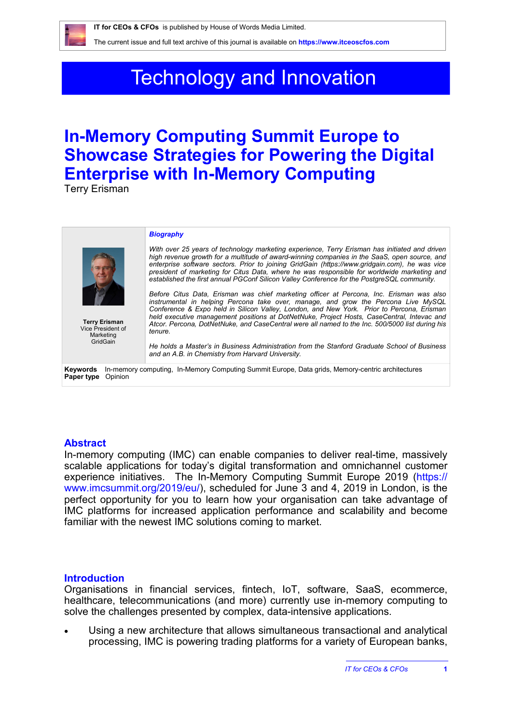The current issue and full text archive of this journal is available on **https://www.itceoscfos.com** 

# Technology and Innovation

## **In-Memory Computing Summit Europe to Showcase Strategies for Powering the Digital Enterprise with In-Memory Computing**

Terry Erisman

| <b>Terry Erisman</b><br>Vice President of                                                                                             | <b>Biography</b><br>With over 25 years of technology marketing experience, Terry Erisman has initiated and driven<br>high revenue growth for a multitude of award-winning companies in the SaaS, open source, and<br>enterprise software sectors. Prior to joining GridGain (https://www.gridgain.com), he was vice<br>president of marketing for Citus Data, where he was responsible for worldwide marketing and<br>established the first annual PGConf Silicon Valley Conference for the PostgreSQL community.<br>Before Citus Data, Erisman was chief marketing officer at Percona, Inc. Erisman was also<br>instrumental in helping Percona take over, manage, and grow the Percona Live MySQL<br>Conference & Expo held in Silicon Valley, London, and New York. Prior to Percona, Erisman<br>held executive management positions at DotNetNuke, Project Hosts, CaseCentral, Intevac and<br>Atcor. Percona, DotNetNuke, and CaseCentral were all named to the Inc. 500/5000 list during his |
|---------------------------------------------------------------------------------------------------------------------------------------|---------------------------------------------------------------------------------------------------------------------------------------------------------------------------------------------------------------------------------------------------------------------------------------------------------------------------------------------------------------------------------------------------------------------------------------------------------------------------------------------------------------------------------------------------------------------------------------------------------------------------------------------------------------------------------------------------------------------------------------------------------------------------------------------------------------------------------------------------------------------------------------------------------------------------------------------------------------------------------------------------|
| Marketing<br>GridGain                                                                                                                 | tenure.<br>He holds a Master's in Business Administration from the Stanford Graduate School of Business<br>and an A.B. in Chemistry from Harvard University.                                                                                                                                                                                                                                                                                                                                                                                                                                                                                                                                                                                                                                                                                                                                                                                                                                      |
| In-memory computing, In-Memory Computing Summit Europe, Data grids, Memory-centric architectures<br>Keywords<br>Opinion<br>Paper type |                                                                                                                                                                                                                                                                                                                                                                                                                                                                                                                                                                                                                                                                                                                                                                                                                                                                                                                                                                                                   |

### **Abstract**

In-memory computing (IMC) can enable companies to deliver real-time, massively scalable applications for today's digital transformation and omnichannel customer experience initiatives. The In-Memory Computing Summit Europe 2019 (https:// www.imcsummit.org/2019/eu/), scheduled for June 3 and 4, 2019 in London, is the perfect opportunity for you to learn how your organisation can take advantage of IMC platforms for increased application performance and scalability and become familiar with the newest IMC solutions coming to market.

#### **Introduction**

Organisations in financial services, fintech, IoT, software, SaaS, ecommerce, healthcare, telecommunications (and more) currently use in-memory computing to solve the challenges presented by complex, data-intensive applications.

 Using a new architecture that allows simultaneous transactional and analytical processing, IMC is powering trading platforms for a variety of European banks,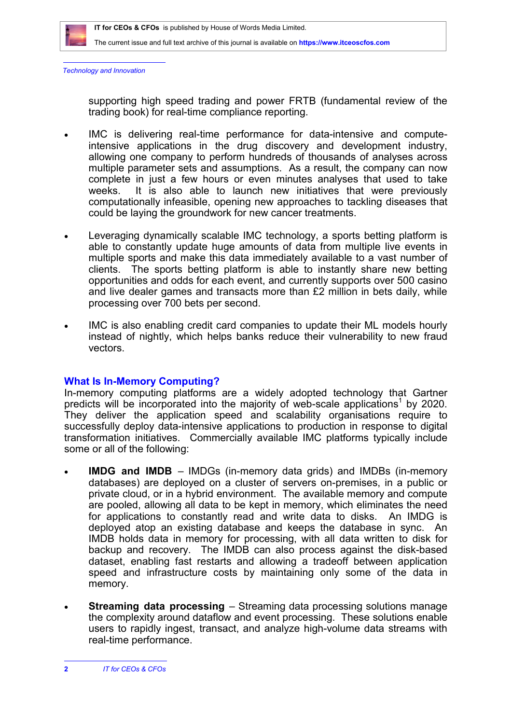

The current issue and full text archive of this journal is available on **https://www.itceoscfos.com** 

*Technology and Innovation*

supporting high speed trading and power FRTB (fundamental review of the trading book) for real-time compliance reporting.

- IMC is delivering real-time performance for data-intensive and computeintensive applications in the drug discovery and development industry, allowing one company to perform hundreds of thousands of analyses across multiple parameter sets and assumptions. As a result, the company can now complete in just a few hours or even minutes analyses that used to take weeks. It is also able to launch new initiatives that were previously computationally infeasible, opening new approaches to tackling diseases that could be laying the groundwork for new cancer treatments.
- Leveraging dynamically scalable IMC technology, a sports betting platform is able to constantly update huge amounts of data from multiple live events in multiple sports and make this data immediately available to a vast number of clients. The sports betting platform is able to instantly share new betting opportunities and odds for each event, and currently supports over 500 casino and live dealer games and transacts more than £2 million in bets daily, while processing over 700 bets per second.
- IMC is also enabling credit card companies to update their ML models hourly instead of nightly, which helps banks reduce their vulnerability to new fraud vectors.

### **What Is In-Memory Computing?**

In-memory computing platforms are a widely adopted technology that Gartner predicts will be incorporated into the majority of web-scale applications<sup>1</sup> by 2020. They deliver the application speed and scalability organisations require to successfully deploy data-intensive applications to production in response to digital transformation initiatives. Commercially available IMC platforms typically include some or all of the following:

- **IMDG and IMDB**  IMDGs (in-memory data grids) and IMDBs (in-memory databases) are deployed on a cluster of servers on-premises, in a public or private cloud, or in a hybrid environment. The available memory and compute are pooled, allowing all data to be kept in memory, which eliminates the need for applications to constantly read and write data to disks. An IMDG is deployed atop an existing database and keeps the database in sync. An IMDB holds data in memory for processing, with all data written to disk for backup and recovery. The IMDB can also process against the disk-based dataset, enabling fast restarts and allowing a tradeoff between application speed and infrastructure costs by maintaining only some of the data in memory.
- **Streaming data processing**  Streaming data processing solutions manage the complexity around dataflow and event processing. These solutions enable users to rapidly ingest, transact, and analyze high-volume data streams with real-time performance.